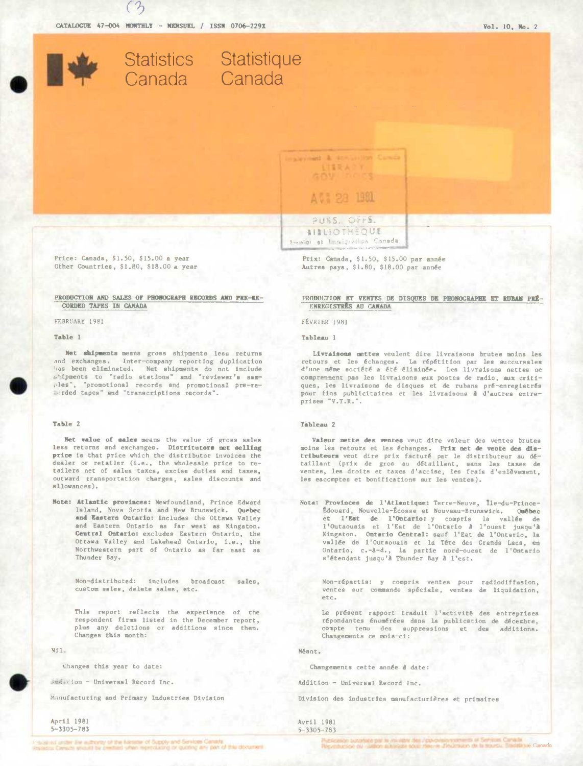

( **9**)



## **AIBLIOTHEQUE** Smotor et Emmigration Coneda

Price: Canada, \$1.50, \$15.00 a year Prix: Canada, \$1.50, \$15.00 par année<br>Other Countries, \$1.80, \$18.00 a year Autres pays, \$1.80, \$18.00 par année

# **CORDED TAPES IN CANADA**

FEBRUARY 1981

#### **Table I**

Net shipments means gross shipments less returns and exchanges. Inter-company reporting duplication has been eliminated. Net shipments do not include • htpments to "radio stations" and "reviewer's **sam**ples", "promotional records and promotional pre-reorded tapes" and "transcriptions records".

#### Table 2

Net value of sales means the value of gross sales less returns and exchanges. **Distritutors net sailing**  price is that price which the distributor invoices the dealer or retailer (i.e., the wholesale price to retailers net of sales taxes, excise duties and taxes, outward transportation charges, sales discounts and allowances).

Note: Atlantic provinces: Newfoundland, Prince Edward Island, Nova Scotia and New Brunswick. Quebec **and Eaatern Ontario:** includes the Ottawa Valley and Eastern Ontario as far west as Kingston. Central Ontario: excludes Eastern Ontario, the Ottawa Vslley and Lakehead Ontario, i.e., the Northwestern part of Ontario as far east as Thunder Bay.

Non-distributed: includes broadcast sales, custom sales, delete sales, etc.

This report reflects the experience of the respondent firma listed In the December report, plus any deletions or additions since then. Changes this month:

N 11.

Changes this year to date:

Audicion - Universal Record Inc.

Manufacturing and Primary Industries Division

April 1981 5-3305-783 Autres pays, \$1.80, \$18.00 par année

**PRODUCTION AND SALES OF PHONOGRAPH RECORDS AND PRE-RE-**<br>CORDED TAPES IN CANADA<br> **ENREGISTRES AU CANADA** 

FEVRIER 1981

### Tableau I

Livraisons mettes veulent dire livraisons brutes moins les retours et les échanges. La répétition par les succursales d'une même société a été éliminée. Les livraisons nettes ne comprennent pas les livraisons aux postes de radio, aux critiques, les livraisons de disques et de rubans pré-enregistrés pour fins publicitaires et lee livraisons *A* d'autres entreprises "V.T.R.".

#### **Tableau 2**

Valeur mette des ventes veut dire valeur des ventes brutes moins les retours et les échanges. Prix net de vente des dist**ributeurs** veut dire prix facturé par le distributeur au dé-<br>taillant (prix de gros au détaillant, sans les taxes de ventes, les droits et taxes d'accise, les frais d'enlèvement, les escomptes et bonifications sur les ventes).

Nota: Provinces de l'Atlantique: Terre-Neuve, Ile-du-Prince-Édouard, Nouvelle-Écosse et Nouveau-Brunswick. Québec **ci l'Eet de l'Ontario:** y coapris la valide de l'Outaouais et i'Est de l'Ontarlo **A** l'ouest jusqu'B Kingston. Ontario Central: sauf l'Est de l'Ontario, la vallée de l'Outaouais et la Tête des Grands Lacs, en Ontario, c.-à-d., la partie nord-ouest de l'Ontario<br>s'Étendant jusqu'à Thunder Bay à l'est.

Non-répartis: y compris ventes pour radiodiffusion, ventes sur commande spéciale, ventes de liquidation, etc.

Le présent rapport traduit l'activité des entreprisea répondantes énumérées dans la publication de décembre,<br>compte tenu des suppressions et des additions. compte tenu des suppressions et des Changements ce mois-ci:

Néant.

Changements cette année *à* date:

Addition - Universal Record Inc.

Division des industries manufacturières et primaires

#### Avril 1981 5-3305- 78 3

as unler for a Enriq of the Minimum of Supply and Services Canady.<br>In Caractery would be precised when reproducing or quoting any pay of this discussed.

**9.64 Services, Canada**